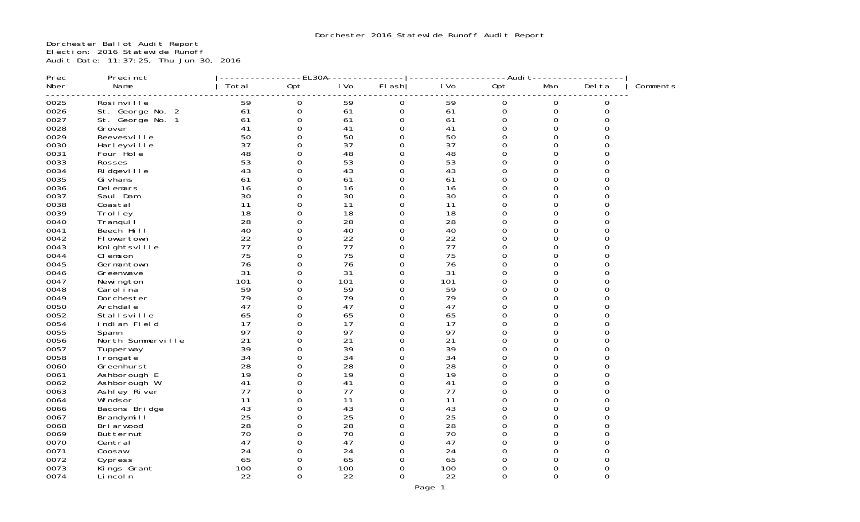Dorchester Ballot Audit Report Election: 2016 Statewide Runoff Audit Date: 11:37:25, Thu Jun 30, 2016

| Prec | Precinct          |       | EL30A            |      |             |      | -Audi t     |             |              |          |
|------|-------------------|-------|------------------|------|-------------|------|-------------|-------------|--------------|----------|
| Nber | Name              | Total | Opt              | i Vo | FI ash      | i Vo | Opt         | Man         | Del ta       | Comments |
| 0025 | Rosi nville       | 59    | 0                | 59   | 0           | 59   | 0           | $\mathbf 0$ | 0            |          |
| 0026 | St. George No. 2  | 61    | $\boldsymbol{0}$ | 61   | $\mathbf 0$ | 61   | $\mathbf 0$ | $\mathbf 0$ | $\Omega$     |          |
| 0027 | St. George No. 1  | 61    | 0                | 61   | $\Omega$    | 61   | $\Omega$    | $\Omega$    | ∩            |          |
| 0028 | Grover            | 41    | 0                | 41   | 0           | 41   | $\Omega$    | $\Omega$    | 0            |          |
| 0029 | Reevesville       | 50    | $\Omega$         | 50   | $\Omega$    | 50   | $\Omega$    | $\Omega$    | $\Omega$     |          |
| 0030 | Harleyville       | 37    | 0                | 37   | $\Omega$    | 37   | 0           | 0           | O            |          |
| 0031 | Four Hole         | 48    | $\Omega$         | 48   | $\Omega$    | 48   | $\Omega$    | $\Omega$    | O            |          |
| 0033 | Rosses            | 53    | 0                | 53   | $\Omega$    | 53   | $\Omega$    | $\Omega$    | O            |          |
| 0034 | Ri dgevi I I e    | 43    | 0                | 43   | $\Omega$    | 43   | $\Omega$    | $\Omega$    |              |          |
| 0035 | Gi vhans          | 61    | 0                | 61   | $\Omega$    | 61   | $\Omega$    | $\Omega$    | O            |          |
| 0036 | Del emars         | 16    | $\overline{O}$   | 16   | 0           | 16   | $\Omega$    | $\Omega$    |              |          |
| 0037 | Saul Dam          | 30    | 0                | 30   | $\Omega$    | 30   | $\Omega$    | $\Omega$    | U            |          |
| 0038 | Coastal           | 11    | 0                | 11   | 0           | 11   | 0           | 0           | 0            |          |
| 0039 | Trol I ey         | 18    | 0                | 18   | $\Omega$    | 18   | $\Omega$    | $\Omega$    | O            |          |
| 0040 | Tranqui I         | 28    | 0                | 28   | 0           | 28   | 0           | $\Omega$    | 0            |          |
| 0041 | Beech Hill        | 40    | $\overline{O}$   | 40   | $\Omega$    | 40   | $\Omega$    | $\Omega$    | ∩            |          |
| 0042 | Flowertown        | 22    | 0                | 22   | $\Omega$    | 22   | $\Omega$    | $\Omega$    | $\Omega$     |          |
| 0043 | Knightsville      | 77    | $\overline{O}$   | 77   | $\Omega$    | 77   | $\Omega$    | $\Omega$    | ∩            |          |
| 0044 | CI emson          | 75    | 0                | 75   | $\Omega$    | 75   | $\Omega$    | $\Omega$    | U            |          |
| 0045 | Germantown        | 76    | 0                | 76   | 0           | 76   | $\Omega$    | $\Omega$    | U            |          |
| 0046 | Greenwave         | 31    | 0                | 31   | $\Omega$    | 31   | $\Omega$    | $\Omega$    | U            |          |
| 0047 | Newi ngton        | 101   | 0                | 101  | 0           | 101  | 0           | $\Omega$    | 0            |          |
| 0048 | Carol ina         | 59    | 0                | 59   | $\Omega$    | 59   | $\Omega$    | $\Omega$    | ∩            |          |
| 0049 | Dorchester        | 79    | 0                | 79   | 0           | 79   | $\Omega$    | $\Omega$    | 0            |          |
| 0050 | Archdal e         | 47    | 0                | 47   | $\Omega$    | 47   | $\Omega$    | $\Omega$    | $\Omega$     |          |
| 0052 | Stallsville       | 65    | 0                | 65   | $\Omega$    | 65   | $\Omega$    | $\Omega$    | O            |          |
| 0054 | Indian Field      | 17    | $\overline{O}$   | 17   | 0           | 17   | $\Omega$    | $\Omega$    | ∩            |          |
| 0055 | Spann             | 97    | 0                | 97   | $\Omega$    | 97   | $\Omega$    | $\Omega$    | O            |          |
| 0056 | North Summerville | 21    | 0                | 21   | $\Omega$    | 21   | $\Omega$    | $\Omega$    | 0            |          |
| 0057 | Tupperway         | 39    | 0                | 39   | $\Omega$    | 39   | $\Omega$    | $\Omega$    | O            |          |
| 0058 | I rongate         | 34    | 0                | 34   | 0           | 34   | $\Omega$    | $\Omega$    | $\Omega$     |          |
| 0060 | Greenhurst        | 28    | 0                | 28   | $\Omega$    | 28   | $\Omega$    | $\Omega$    | ∩            |          |
| 0061 | Ashborough E      | 19    | 0                | 19   | 0           | 19   | $\mathbf 0$ | $\Omega$    | ∩            |          |
| 0062 | Ashborough W      | 41    | $\overline{O}$   | 41   | $\Omega$    | 41   | $\Omega$    | $\Omega$    | O            |          |
| 0063 | Ashley River      | 77    | $\overline{O}$   | 77   | $\Omega$    | 77   | $\Omega$    | $\Omega$    | ∩            |          |
| 0064 | Wi ndsor          | 11    | 0                | 11   | $\Omega$    | 11   | $\Omega$    | $\Omega$    | O            |          |
| 0066 | Bacons Bridge     | 43    | 0                | 43   | $\Omega$    | 43   | $\Omega$    | $\Omega$    | O            |          |
| 0067 | Brandymill        | 25    | 0                | 25   | $\Omega$    | 25   | $\Omega$    | $\Omega$    | $\Omega$     |          |
| 0068 | Bri arwood        | 28    | 0                | 28   | $\Omega$    | 28   | $\Omega$    | $\Omega$    | O            |          |
| 0069 | Butternut         | 70    | 0                | 70   | $\Omega$    | 70   | $\Omega$    | $\Omega$    | O            |          |
| 0070 | Central           | 47    | 0                | 47   | $\Omega$    | 47   | $\Omega$    | $\Omega$    | ∩            |          |
| 0071 | Coosaw            | 24    | $\Omega$         | 24   | $\Omega$    | 24   | $\Omega$    | $\Omega$    | <sup>0</sup> |          |
| 0072 | Cypress           | 65    | 0                | 65   | 0           | 65   | $\Omega$    | $\Omega$    | O            |          |
| 0073 | Kings Grant       | 100   | 0                | 100  | 0           | 100  | 0           | 0           | 0            |          |
| 0074 | Li ncol n         | 22    | 0                | 22   | $\Omega$    | 22   | $\Omega$    | $\Omega$    | $\Omega$     |          |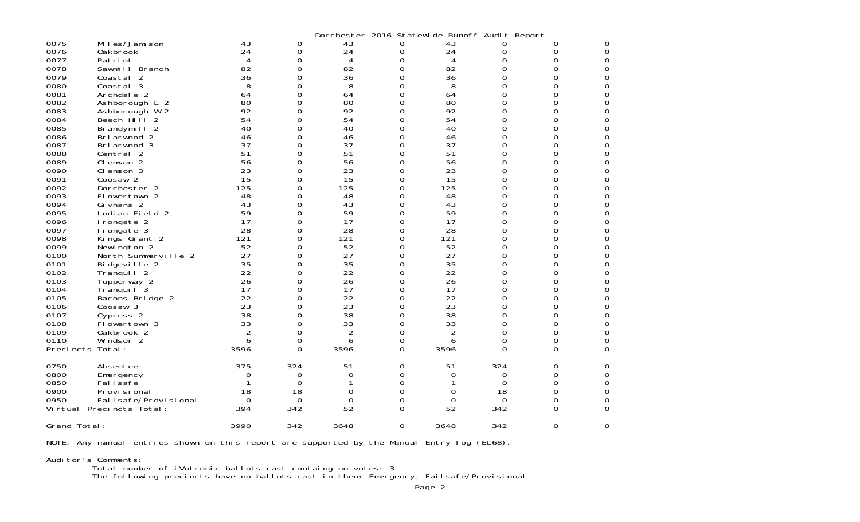|                  |                          |          |          |                | Dorchester 2016 Statewide Runoff Audit Report |                |          |                |          |
|------------------|--------------------------|----------|----------|----------------|-----------------------------------------------|----------------|----------|----------------|----------|
| 0075             | Miles/Jamison            | 43       | 0        | 43             | 0                                             | 43             |          | 0              | 0        |
| 0076             | Oakbrook                 | 24       | 0        | 24             | 0                                             | 24             | 0        | 0              | 0        |
| 0077             | Patri ot                 | 4        | 0        | 4              | 0                                             | 4              | O        | 0              | $\Omega$ |
| 0078             | Sawmill Branch           | 82       | 0        | 82             | 0                                             | 82             | 0        | 0              | 0        |
| 0079             | Coastal 2                | 36       | 0        | 36             | O                                             | 36             | 0        | 0              | 0        |
| 0080             | Coastal 3                | 8        | 0        | 8              | ი                                             | 8              | $\Omega$ | O              | 0        |
| 0081             | Archdale 2               | 64       | 0        | 64             | 0                                             | 64             | 0        | 0              | 0        |
| 0082             | Ashborough E 2           | 80       | 0        | 80             | 0                                             | 80             | 0        | 0              | 0        |
| 0083             | Ashborough W 2           | 92       | 0        | 92             | 0                                             | 92             | 0        | 0              | 0        |
| 0084             | Beech Hill<br>-2         | 54       | 0        | 54             | 0                                             | 54             | $\Omega$ | 0              | 0        |
| 0085             | Brandymill 2             | 40       | 0        | 40             | 0                                             | 40             | 0        | 0              | 0        |
| 0086             | Briarwood 2              | 46       | 0        | 46             | 0                                             | 46             | 0        | 0              | 0        |
| 0087             | Briarwood 3              | 37       | 0        | 37             | 0                                             | 37             | 0        | 0              | 0        |
| 0088             | Central 2                | 51       | 0        | 51             | 0                                             | 51             | 0        | 0              | 0        |
| 0089             | Clemson 2                | 56       | 0        | 56             | 0                                             | 56             | 0        | 0              | $\Omega$ |
| 0090             | Clemson 3                | 23       | 0        | 23             | 0                                             | 23             | $\Omega$ | 0              | 0        |
| 0091             | Coosaw <sub>2</sub>      | 15       | 0        | 15             | 0                                             | 15             | $\Omega$ | 0              | 0        |
| 0092             | Dorchester 2             | 125      | 0        | 125            | 0                                             | 125            | 0        | 0              | 0        |
| 0093             | Flowertown 2             | 48       | 0        | 48             | 0                                             | 48             | 0        | 0              | 0        |
| 0094             | Gi vhans 2               | 43       | 0        | 43             | 0                                             | 43             | 0        | 0              | 0        |
| 0095             | Indian Field 2           | 59       | 0        | 59             | 0                                             | 59             | 0        | 0              | 0        |
| 0096             | I rongate 2              | 17       | $\Omega$ | 17             | 0                                             | 17             | $\Omega$ | 0              | 0        |
| 0097             | I rongate 3              | 28       | $\Omega$ | 28             | O                                             | 28             | $\Omega$ | 0              | 0        |
| 0098             | Kings Grant 2            | 121      | 0        | 121            | 0                                             | 121            | 0        | 0              | 0        |
| 0099             | Newington 2              | 52       | 0        | 52             | 0                                             | 52             | 0        | 0              | 0        |
| 0100             | North Summerville 2      | 27       | 0        | 27             | 0                                             | 27             | 0        | 0              | 0        |
| 0101             | Ridgeville 2             | 35       | 0        | 35             | 0                                             | 35             | 0        | 0              | 0        |
| 0102             | Tranquil <sub>2</sub>    | 22       | $\Omega$ | 22             | 0                                             | 22             | $\Omega$ | 0              | $\Omega$ |
| 0103             | Tupperway 2              | 26       | $\Omega$ | 26             | 0                                             | 26             | $\Omega$ | 0              | 0        |
| 0104             | Tranquil <sup>3</sup>    | 17       | 0        | 17             | O                                             | 17             | 0        | 0              | 0        |
| 0105             | Bacons Bridge 2          | 22       | 0        | 22             | 0                                             | 22             | 0        | 0              | 0        |
| 0106             | Coosaw 3                 | 23       | 0        | 23             | 0                                             | 23             | 0        | 0              | 0        |
| 0107             | Cypress 2                | 38       | 0        | 38             | 0                                             | 38             | 0        | 0              | 0        |
| 0108             | Flowertown 3             | 33       | 0        | 33             | 0                                             | 33             | $\Omega$ | 0              | 0        |
| 0109             | Oakbrook 2               | 2        | 0        | $\overline{c}$ | 0                                             | $\overline{2}$ | $\Omega$ | 0              | 0        |
| 0110             | Windsor 2                | 6        | 0        | 6              | 0                                             | 6              | 0        | 0              | 0        |
| Precincts Total: |                          | 3596     | 0        | 3596           | $\Omega$                                      | 3596           | 0        | $\Omega$       | 0        |
| 0750             | Absentee                 | 375      | 324      | 51             | 0                                             | 51             | 324      | 0              | 0        |
| 0800             | Emergency                | 0        | 0        | 0              | 0                                             | 0              | 0        | 0              | 0        |
| 0850             | Fai I safe               |          | $\Omega$ |                | 0                                             |                | 0        | 0              | 0        |
| 0900             | Provi si onal            | 18       | 18       | 0              | $\Omega$                                      | 0              | 18       | 0              | 0        |
| 0950             | Fai I safe/Provi si onal | $\Omega$ | 0        | 0              | 0                                             | 0              | 0        | 0              | 0        |
|                  | Virtual Precincts Total: | 394      | 342      | 52             | O                                             | 52             | 342      | 0              | 0        |
| Grand Total:     |                          | 3990     | 342      | 3648           | $\Omega$                                      | 3648           | 342      | $\overline{0}$ | $\Omega$ |
|                  |                          |          |          |                |                                               |                |          |                |          |

NOTE: Any manual entries shown on this report are supported by the Manual Entry log (EL68).

Auditor's Comments:

Total number of iVotronic ballots cast containg no votes: 3

The following precincts have no ballots cast in them: Emergency, Failsafe/Provisional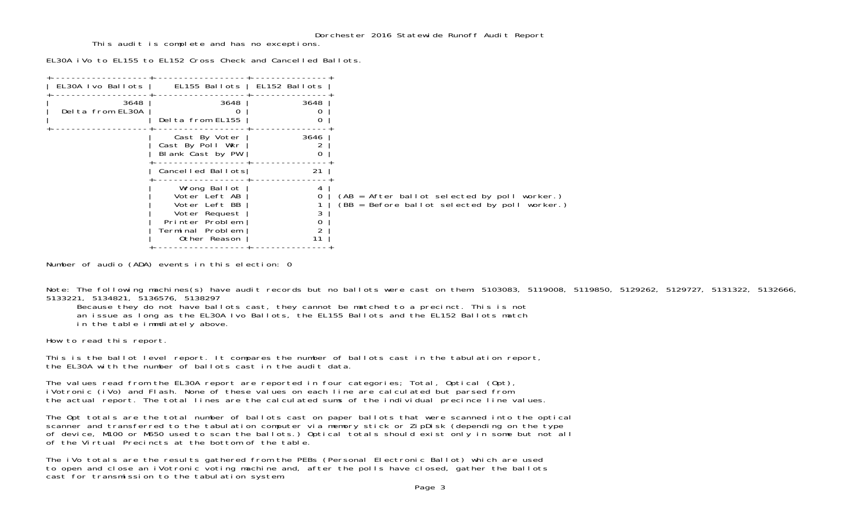This audit is complete and has no exceptions.

EL30A iVo to EL155 to EL152 Cross Check and Cancelled Ballots.

| EL30A Ivo Ballots        | EL155 Ballots   EL152 Ballots                                                                                          |      |                                                                                                 |
|--------------------------|------------------------------------------------------------------------------------------------------------------------|------|-------------------------------------------------------------------------------------------------|
| 3648<br>Delta from EL30A | 3648<br>Delta from EL155                                                                                               | 3648 |                                                                                                 |
|                          | Cast By Voter<br>Cast By Poll Wkr<br>Blank Cast by PW                                                                  | 3646 |                                                                                                 |
|                          | Cancelled Ballots                                                                                                      | 21   |                                                                                                 |
|                          | Wrong Ballot<br>Voter Left AB<br>Voter Left BB<br>Voter Request<br>Printer Problem<br>Terminal Problem<br>Other Reason | 11   | (AB = After ballot selected by poll worker.)<br>$(BB = Before ballot selected by poll worker.)$ |

Number of audio (ADA) events in this election: 0

Note: The following machines(s) have audit records but no ballots were cast on them: 5103083, 5119008, 5119850, 5129262, 5129727, 5131322, 5132666, 5133221, 5134821, 5136576, 5138297

Because they do not have ballots cast, they cannot be matched to a precinct. This is not

an issue as long as the EL30A Ivo Ballots, the EL155 Ballots and the EL152 Ballots match

in the table immdiately above.

How to read this report.

This is the ballot level report. It compares the number of ballots cast in the tabulation report, the EL30A with the number of ballots cast in the audit data.

The values read from the EL30A report are reported in four categories; Total, Optical (Opt), iVotronic (iVo) and Flash. None of these values on each line are calculated but parsed from the actual report. The total lines are the calculated sums of the individual precince line values.

The Opt totals are the total number of ballots cast on paper ballots that were scanned into the optical<br>scanner and transferred to the tabulation computer via memory stick or ZipDisk (depending on the type of device, M100 or M650 used to scan the ballots.) Optical totals should exist only in some but not all of the Virtual Precincts at the bottom of the table.

The iVo totals are the results gathered from the PEBs (Personal Electronic Ballot) which are used to open and close an iVotronic voting machine and, after the polls have closed, gather the ballots cast for transmission to the tabulation system.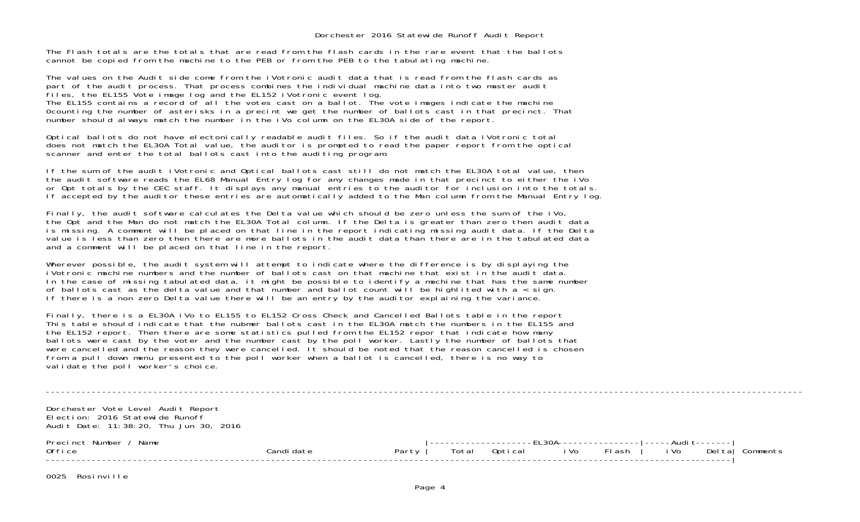The Flash totals are the totals that are read from the flash cards in the rare event that the ballotscannot be copied from the machine to the PEB or from the PEB to the tabulating machine.

The values on the Audit side come from the iVotronic audit data that is read from the flash cards as part of the audit process. That process combines the individual machine data into two master audit files, the EL155 Vote image log and the EL152 iVotronic event log. The EL155 contains a record of all the votes cast on a ballot. The vote images indicate the machine 0counting the number of asterisks in a precint we get the number of ballots cast in that precinct. That number should always match the number in the iVo column on the EL30A side of the report.

Optical ballots do not have electonically readable audit files. So if the audit data iVotronic total does not match the EL30A Total value, the auditor is prompted to read the paper report from the optical scanner and enter the total ballots cast into the auditing program.

If the sum of the audit iVotronic and Optical ballots cast still do not match the EL30A total value, then the audit software reads the EL68 Manual Entry log for any changes made in that precinct to either the iVo or Opt totals by the CEC staff. It displays any manual entries to the auditor for inclusion into the totals. If accepted by the auditor these entries are automatically added to the Man column from the Manual Entry log.

Finally, the audit software calculates the Delta value which should be zero unless the sum of the iVo, the Opt and the Man do not match the EL30A Total column. If the Delta is greater than zero then audit data is missing. A comment will be placed on that line in the report indicating missing audit data. If the Delta value is less than zero then there are more ballots in the audit data than there are in the tabulated data and a comment will be placed on that line in the report.

Wherever possible, the audit system will attempt to indicate where the difference is by displaying the iVotronic machine numbers and the number of ballots cast on that machine that exist in the audit data. In the case of missing tabulated data, it might be possible to identify a machine that has the same number of ballots cast as the delta value and that number and ballot count will be highlited with  $a <$  sign. If there is a non zero Delta value there will be an entry by the auditor explaining the variance.

Finally, there is a EL30A iVo to EL155 to EL152 Cross Check and Cancelled Ballots table in the report This table should indicate that the nubmer ballots cast in the EL30A match the numbers in the EL155 and the EL152 report. Then there are some statistics pulled from the EL152 repor that indicate how many ballots were cast by the voter and the number cast by the poll worker. Lastly the number of ballots that were cancelled and the reason they were cancelled. It should be noted that the reason cancelled is chosen from a pull down menu presented to the poll worker when a ballot is cancelled, there is no way to validate the poll worker's choice.

----------------------------------------------------------------------------------------------------------------------------------------------------Dorchester Vote Level Audit Report Election: 2016 Statewide Runoff Audit Date: 11:38:20, Thu Jun 30, 2016 Precinct Number / Name |--------------------EL30A----------------|-----Audit-------| Office Candidate Party | Total Optical iVo Flash | iVo Delta| Comments --------------------------------------------------------------------------------------------------------------------------------------|

0025 Rosinville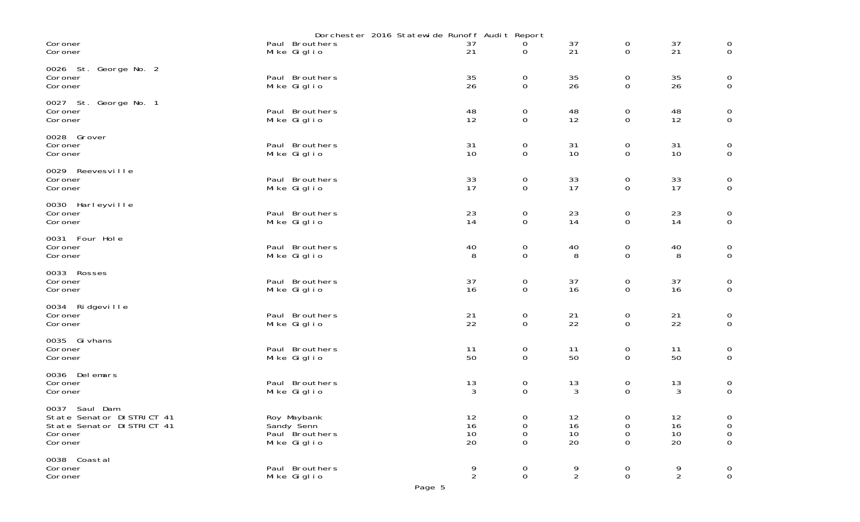|                                                                                                |                                                            | Dorchester 2016 Statewide Runoff Audit Report |                            |                      |                                      |                      |                                                |
|------------------------------------------------------------------------------------------------|------------------------------------------------------------|-----------------------------------------------|----------------------------|----------------------|--------------------------------------|----------------------|------------------------------------------------|
| Coroner<br>Coroner                                                                             | Paul Brouthers<br>Mike Giglio                              | 37<br>21                                      | 0                          | 37<br>21             | 0<br>$\overline{0}$                  | 37<br>21             | $_{\rm 0}^{\rm 0}$                             |
| 0026 St. George No. 2<br>Coroner<br>Coroner                                                    | Paul Brouthers<br>Mike Giglio                              | 35<br>26                                      | 0<br>$\mathbf 0$           | 35<br>26             | 0<br>0                               | $\frac{35}{26}$      | $_{\rm 0}^{\rm 0}$                             |
| 0027 St. George No. 1<br>Coroner<br>Coroner                                                    | Paul Brouthers<br>Mike Giglio                              | 48<br>12                                      | 0<br>$\mathsf{O}\xspace$   | 48<br>12             | 0<br>0                               | 48<br>12             | $\begin{smallmatrix}0\\0\end{smallmatrix}$     |
| 0028 Grover<br>Coroner<br>Coroner                                                              | Paul Brouthers<br>Mike Giglio                              | 31<br>10                                      | $\mathbf 0$<br>$\mathbf 0$ | 31<br>10             | 0<br>0                               | 31<br>10             | $\begin{smallmatrix}0\\0\end{smallmatrix}$     |
| 0029 Reevesville<br>Coroner<br>Coroner                                                         | Paul Brouthers<br>Mike Giglio                              | 33<br>17                                      | 0<br>$\mathbf 0$           | 33<br>17             | 0<br>$\mathbf 0$                     | 33<br>17             | $\begin{smallmatrix}0\\0\end{smallmatrix}$     |
| 0030 Harleyville<br>Coroner<br>Coroner                                                         | Paul Brouthers<br>Mike Giglio                              | 23<br>14                                      | 0<br>$\mathbf 0$           | 23<br>14             | 0<br>0                               | 23<br>14             | $\mathbf 0$<br>$\mathsf O$                     |
| 0031 Four Hole<br>Coroner<br>Coroner                                                           | Paul Brouthers<br>Mike Giglio                              | 40<br>8                                       | $\mathbf 0$<br>$\mathbf 0$ | 40<br>8              | $\boldsymbol{0}$<br>0                | 40<br>8              | $_{\rm 0}^{\rm 0}$                             |
| 0033 Rosses<br>Coroner<br>Coroner                                                              | Paul Brouthers<br>Mike Giglio                              | 37<br>16                                      | 0<br>$\mathbf 0$           | 37<br>16             | 0<br>$\mathbf 0$                     | 37<br>16             | $\mathbf 0$<br>$\mathsf{O}\xspace$             |
| 0034 Ridgeville<br>Coroner<br>Coroner                                                          | Paul Brouthers<br>Mike Giglio                              | 21<br>22                                      | $\mathbf 0$<br>$\mathbf 0$ | 21<br>22             | 0<br>0                               | 21<br>22             | $\boldsymbol{0}$<br>$\mathbf 0$                |
| 0035 Gi vhans<br>Coroner<br>Coroner                                                            | Paul Brouthers<br>Mike Giglio                              | 11<br>50                                      | 0<br>$\mathbf 0$           | 11<br>50             | 0<br>$\mathbf 0$                     | 11<br>50             | $\begin{matrix} 0 \\ 0 \end{matrix}$           |
| 0036 Delemars<br>Coroner<br>Coroner                                                            | Paul Brouthers<br>Mike Giglio                              | 13<br>3                                       | $_{\rm 0}^{\rm 0}$         | 13<br>3              | $\begin{matrix} 0 \\ 0 \end{matrix}$ | 13<br>3              | $_{\rm 0}^{\rm 0}$                             |
| 0037 Saul Dam<br>State Senator DI STRICT 41<br>State Senator DISTRICT 41<br>Coroner<br>Coroner | Roy Maybank<br>Sandy Senn<br>Paul Brouthers<br>Mike Giglio | 12<br>16<br>10<br>20                          | 0<br>0<br>0<br>0           | 12<br>16<br>10<br>20 | 0<br>0<br>0<br>0                     | 12<br>16<br>10<br>20 | 0<br>$\boldsymbol{0}$<br>$\boldsymbol{0}$<br>0 |
| 0038 Coastal<br>Coroner<br>Coroner                                                             | Paul Brouthers<br>Mike Giglio                              | 9<br>$\overline{2}$                           | 0<br>$\overline{0}$        | 9<br>$\overline{2}$  | 0<br>$\mathsf{O}$                    | 9<br>$\overline{2}$  | 0<br>$\mathsf{O}\xspace$                       |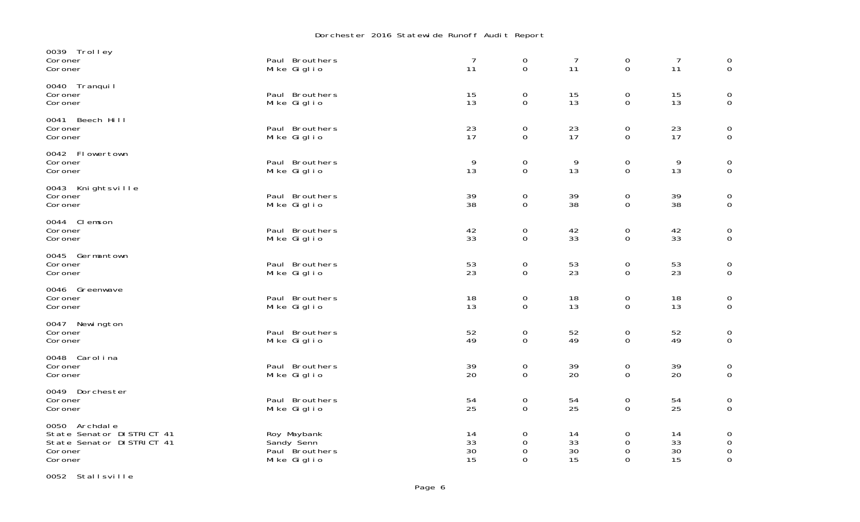## Dorchester 2016 Statewide Runoff Audit Report

| 0039 Trolley<br>Coroner<br>Coroner                                                              | Paul Brouthers<br>Mike Giglio                              | $\overline{7}$<br>11 | $\mathbf 0$<br>$\mathbf 0$         | $\overline{7}$<br>11 | $\mathbf 0$<br>$\mathbf 0$         | 7<br>11               | $\mathbf 0$<br>$\mathbf 0$                     |
|-------------------------------------------------------------------------------------------------|------------------------------------------------------------|----------------------|------------------------------------|----------------------|------------------------------------|-----------------------|------------------------------------------------|
| 0040 Tranquil<br>Coroner<br>Coroner                                                             | Paul Brouthers<br>Mike Giglio                              | 15<br>13             | $\mathbf 0$<br>$\mathbf 0$         | 15<br>13             | $\mathbf 0$<br>$\mathbf 0$         | 15<br>13              | $\mathbf 0$<br>$\mathbf 0$                     |
| 0041 Beech Hill<br>Coroner<br>Coroner                                                           | Paul Brouthers<br>Mike Giglio                              | 23<br>17             | $\mathbf 0$<br>$\mathbf 0$         | 23<br>17             | $\mathbf 0$<br>$\mathbf 0$         | 23<br>17              | $\overline{0}$<br>$\overline{0}$               |
| 0042 Flowertown<br>Coroner<br>Coroner                                                           | Paul Brouthers<br>Mike Giglio                              | 9<br>13              | 0<br>0                             | 9<br>13              | $\mathbf 0$<br>0                   | 9<br>13               | $\overline{0}$<br>$\mathbf 0$                  |
| 0043 Knightsville<br>Coroner<br>Coroner                                                         | Paul Brouthers<br>Mike Giglio                              | 39<br>38             | $\mathbf 0$<br>$\mathsf{O}\xspace$ | 39<br>38             | $\mathbf 0$<br>$\mathsf{O}\xspace$ | $\frac{39}{38}$       | $\begin{smallmatrix} 0\\0 \end{smallmatrix}$   |
| 0044 Clemson<br>Coroner<br>Coroner                                                              | Paul Brouthers<br>Mike Giglio                              | 42<br>33             | $\mathbf 0$<br>$\mathbf 0$         | 42<br>33             | 0<br>$\mathbf 0$                   | 42<br>33              | $\mathbf 0$<br>$\mathbf 0$                     |
| 0045 Germantown<br>Coroner<br>Coroner                                                           | Paul Brouthers<br>Mike Giglio                              | 53<br>23             | $\mathbf 0$<br>$\mathbf 0$         | 53<br>23             | $\mathbf 0$<br>$\mathbf 0$         | 53<br>$\overline{23}$ | $\mathbf 0$<br>$\overline{O}$                  |
| 0046 Greenwave<br>Coroner<br>Coroner                                                            | Paul Brouthers<br>Mike Giglio                              | 18<br>13             | $\mathbf 0$<br>$\mathbf 0$         | 18<br>13             | $\mathbf 0$<br>$\mathbf 0$         | 18<br>13              | $\rm _0^0$                                     |
| 0047 Newington<br>Coroner<br>Coroner                                                            | Paul Brouthers<br>Mike Giglio                              | 52<br>49             | $\boldsymbol{0}$<br>$\overline{0}$ | 52<br>49             | 0<br>$\Omega$                      | 52<br>49              | $_{0}^{0}$                                     |
| 0048 Carolina<br>Coroner<br>Coroner                                                             | Paul Brouthers<br>Mike Giglio                              | 39<br>20             | $\mathsf{O}\xspace$<br>$\mathbf 0$ | 39<br>20             | $\boldsymbol{0}$<br>$\mathbf 0$    | 39<br>20              | $_{\rm 0}^{\rm 0}$                             |
| 0049 Dorchester<br>Coroner<br>Coroner                                                           | Paul Brouthers<br>Mike Giglio                              | 54<br>25             | $\mathbf 0$<br>0                   | 54<br>25             | $\mathbf 0$<br>0                   | 54<br>25              | $\mathbf 0$<br>$\mathbf 0$                     |
| 0050 Archdale<br>State Senator DI STRICT 41<br>State Senator DI STRICT 41<br>Coroner<br>Coroner | Roy Maybank<br>Sandy Senn<br>Paul Brouthers<br>Mike Giglio | 14<br>33<br>30<br>15 | 0<br>0<br>$\mathbf 0$<br>0         | 14<br>33<br>30<br>15 | 0<br>0<br>0<br>0                   | 14<br>33<br>30<br>15  | 0<br>$\mathbf 0$<br>$\mathbf 0$<br>$\mathbf 0$ |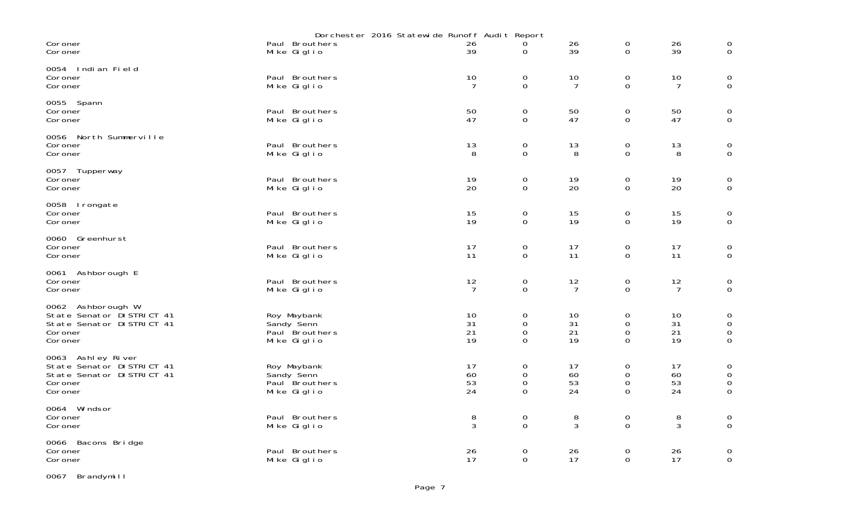|                                                                                                    | Dorchester 2016 Statewide Runoff Audit Report              |                      |                                                         |                      |                                    |                      |                                                                   |
|----------------------------------------------------------------------------------------------------|------------------------------------------------------------|----------------------|---------------------------------------------------------|----------------------|------------------------------------|----------------------|-------------------------------------------------------------------|
| Coroner<br>Coroner                                                                                 | Paul Brouthers<br>Mike Giglio                              | 26<br>39             | 0                                                       | 26<br>39             | 0<br>$\mathsf{O}$                  | 26<br>39             | 0<br>$\mathsf{O}\xspace$                                          |
| 0054 Indian Field<br>Coroner<br>Coroner                                                            | Paul Brouthers<br>Mike Giglio                              | 10<br>7              | $\boldsymbol{0}$<br>0                                   | 10<br>7              | 0<br>$\mathbf 0$                   | 10<br>7              | 0<br>$\mathbf 0$                                                  |
| 0055 Spann<br>Coroner<br>Coroner                                                                   | Paul Brouthers<br>Mike Giglio                              | 50<br>47             | $\mathbf 0$<br>$\Omega$                                 | 50<br>47             | 0<br>$\Omega$                      | 50<br>47             | $\boldsymbol{0}$<br>$\mathbf 0$                                   |
| 0056 North Summerville<br>Coroner<br>Coroner                                                       | Paul Brouthers<br>Mike Giglio                              | 13<br>8              | $\boldsymbol{0}$<br>$\mathbf 0$                         | 13<br>8              | 0<br>$\Omega$                      | 13<br>8              | $\boldsymbol{0}$<br>$\mathbf 0$                                   |
| 0057 Tupperway<br>Coroner<br>Coroner                                                               | Paul Brouthers<br>Mike Giglio                              | 19<br>20             | $\boldsymbol{0}$<br>$\mathbf 0$                         | 19<br>20             | 0<br>$\mathbf 0$                   | 19<br>20             | $\boldsymbol{0}$<br>$\mathbf 0$                                   |
| 0058 Irongate<br>Coroner<br>Coroner                                                                | Paul Brouthers<br>Mike Giglio                              | 15<br>19             | $\boldsymbol{0}$<br>$\mathbf 0$                         | 15<br>19             | 0<br>0                             | 15<br>19             | 0<br>$\mathbf 0$                                                  |
| 0060 Greenhurst<br>Coroner<br>Coroner                                                              | Paul Brouthers<br>Mike Giglio                              | 17<br>11             | 0<br>$\mathbf 0$                                        | 17<br>11             | 0<br>$\Omega$                      | 17<br>11             | 0<br>$\mathbf 0$                                                  |
| 0061 Ashborough E<br>Coroner<br>Coroner                                                            | Paul Brouthers<br>Mike Giglio                              | 12<br>$\overline{7}$ | 0<br>0                                                  | 12<br>$\overline{7}$ | 0<br>$\mathsf{O}$                  | 12<br>$\overline{7}$ | $\boldsymbol{0}$<br>$\mathsf{O}\xspace$                           |
| 0062 Ashborough W<br>State Senator DISTRICT 41<br>State Senator DI STRICT 41<br>Coroner<br>Coroner | Roy Maybank<br>Sandy Senn<br>Paul Brouthers<br>Mike Giglio | 10<br>31<br>21<br>19 | $\boldsymbol{0}$<br>$\Omega$<br>$\mathbf 0$<br>$\Omega$ | 10<br>31<br>21<br>19 | 0<br>0<br>$\mathbf 0$<br>$\Omega$  | 10<br>31<br>21<br>19 | $\mbox{O}$<br>$\boldsymbol{0}$<br>$\boldsymbol{0}$<br>$\mathbf 0$ |
| 0063 Ashley River<br>State Senator DISTRICT 41<br>State Senator DI STRICT 41<br>Coroner<br>Coroner | Roy Maybank<br>Sandy Senn<br>Paul Brouthers<br>Mike Giglio | 17<br>60<br>53<br>24 | 0<br>$\boldsymbol{0}$<br>0<br>$\Omega$                  | 17<br>60<br>53<br>24 | 0<br>$\mbox{O}$<br>0<br>$\Omega$   | 17<br>60<br>53<br>24 | 0<br>$\boldsymbol{0}$<br>$\mathsf O$<br>$\mathbf 0$               |
| 0064 Windsor<br>Coroner<br>Coroner                                                                 | Paul Brouthers<br>Mike Giglio                              | 8<br>3               | $\mathbf 0$<br>$\mathbf 0$                              | 8<br>3               | $\mathsf{O}\xspace$<br>$\mathbf 0$ | 8<br>3               | $\boldsymbol{0}$<br>$\mathbf 0$                                   |
| 0066 Bacons Bridge<br>Coroner<br>Coroner                                                           | Paul Brouthers<br>Mike Giglio                              | 26<br>17             | 0<br>$\mathbf 0$                                        | 26<br>17             | 0<br>$\Omega$                      | 26<br>17             | 0<br>$\mbox{O}$                                                   |

0067 Brandymill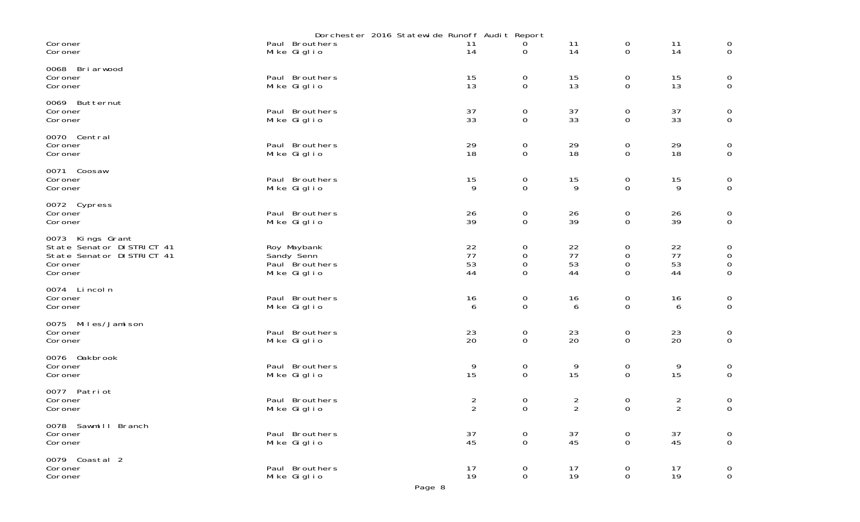|                                                                                                       |                                                            | Dorchester 2016 Statewide Runoff Audit Report |                                                        |                                           |                                                |                                         |                                                                     |  |
|-------------------------------------------------------------------------------------------------------|------------------------------------------------------------|-----------------------------------------------|--------------------------------------------------------|-------------------------------------------|------------------------------------------------|-----------------------------------------|---------------------------------------------------------------------|--|
| Coroner<br>Coroner                                                                                    | Paul Brouthers<br>Mike Giglio                              | 11<br>14                                      | 0<br>0                                                 | 11<br>14                                  | $\overline{0}$<br>0                            | 11<br>14                                | $\mathbf 0$<br>$\overline{0}$                                       |  |
| 0068 Briarwood<br>Coroner<br>Coroner                                                                  | Paul Brouthers<br>Mike Giglio                              | 15<br>13                                      | 0<br>$\mathbf 0$                                       | $\begin{array}{c} 15 \\ 13 \end{array}$   | 0<br>$\mathbf 0$                               | $\begin{array}{c} 15 \\ 13 \end{array}$ | $_{\rm 0}^{\rm 0}$                                                  |  |
| 0069 Butternut<br>Coroner<br>Coroner                                                                  | Paul Brouthers<br>Mike Giglio                              | 37<br>33                                      | 0<br>$\mathbf 0$                                       | 37<br>33                                  | 0<br>$\boldsymbol{0}$                          | 37<br>33                                | $\overline{0}$<br>$\mathsf{O}\xspace$                               |  |
| 0070 Central<br>Coroner<br>Coroner                                                                    | Paul Brouthers<br>Mike Giglio                              | 29<br>18                                      | $\mathsf{O}\xspace$<br>0                               | 29<br>18                                  | 0<br>0                                         | 29<br>18                                | $\begin{smallmatrix}0\0\0\end{smallmatrix}$                         |  |
| 0071 Coosaw<br>Coroner<br>Coroner                                                                     | Paul Brouthers<br>Mike Giglio                              | 15<br>9                                       | 0<br>$\mathbf 0$                                       | 15<br>9                                   | 0<br>$\mathbf 0$                               | 15<br>9                                 | $\rm _0^0$                                                          |  |
| 0072 Cypress<br>Coroner<br>Coroner                                                                    | Paul Brouthers<br>Mike Giglio                              | 26<br>39                                      | 0<br>0                                                 | 26<br>39                                  | 0<br>0                                         | 26<br>39                                | $_{\rm 0}^{\rm 0}$                                                  |  |
| Kings Grant<br>0073<br>State Senator DI STRICT 41<br>State Senator DI STRICT 41<br>Coroner<br>Coroner | Roy Maybank<br>Sandy Senn<br>Paul Brouthers<br>Mike Giglio | 22<br>77<br>53<br>44                          | $\mathsf{O}\xspace$<br>$\mathbf 0$<br>$\mathbf 0$<br>0 | 22<br>77<br>53<br>44                      | 0<br>$\boldsymbol{0}$<br>$\boldsymbol{0}$<br>0 | 22<br>77<br>53<br>44                    | $\boldsymbol{0}$<br>$\boldsymbol{0}$<br>$\mathsf{O}$<br>$\mathbf 0$ |  |
| 0074 Lincoln<br>Coroner<br>Coroner                                                                    | Paul Brouthers<br>Mike Giglio                              | 16<br>6                                       | 0<br>$\mathbf 0$                                       | 16<br>6                                   | 0<br>0                                         | 16<br>6                                 | $\begin{smallmatrix}0\\0\end{smallmatrix}$                          |  |
| 0075 Miles/Jamison<br>Coroner<br>Coroner                                                              | Paul Brouthers<br>Mike Giglio                              | $^{23}_{20}$                                  | 0<br>$\mathbf 0$                                       | $\frac{23}{20}$                           | $\mathbf 0$<br>$\mathbf 0$                     | $^{23}_{20}$                            | $\begin{matrix} 0 \\ 0 \end{matrix}$                                |  |
| 0076 Oakbrook<br>Coroner<br>Coroner                                                                   | Paul Brouthers<br>Mike Giglio                              | 9<br>15                                       | 0<br>0                                                 | 9<br>15                                   | 0<br>0                                         | 9<br>15                                 | $\mathbf 0$<br>$\mathbf 0$                                          |  |
| 0077 Patriot<br>Coroner<br>Coroner                                                                    | Paul Brouthers<br>Mike Giglio                              | $\overline{c}$<br>$\overline{2}$              | 0<br>$\Omega$                                          | $\overline{\mathbf{c}}$<br>$\overline{2}$ | 0<br>$\Omega$                                  | $\overline{c}$<br>$\overline{2}$        | $\boldsymbol{0}$<br>$\mathsf{O}\xspace$                             |  |
| 0078 Sawmill Branch<br>Coroner<br>Coroner                                                             | Paul Brouthers<br>Mike Giglio                              | 37<br>45                                      | $\pmb{0}$<br>$\mathbf 0$                               | 37<br>45                                  | 0<br>$\mathbf{O}$                              | 37<br>45                                | $\mathsf{O}\xspace$<br>$\mathsf{O}\xspace$                          |  |
| 0079 Coastal 2<br>Coroner<br>Coroner                                                                  | Paul Brouthers<br>Mike Giglio                              | 17<br>19                                      | $\mathbf 0$<br>$\overline{O}$                          | 17<br>19                                  | $\mathbf 0$<br>$\mathsf{O}$                    | 17<br>19                                | $\begin{smallmatrix}0\0\end{smallmatrix}$                           |  |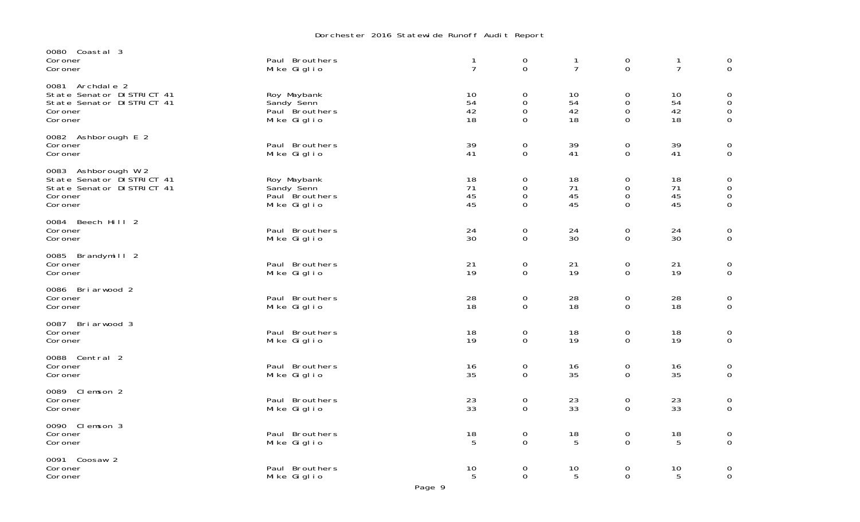## Dorchester 2016 Statewide Runoff Audit Report

| 0080 Coastal 3<br>Coroner<br>Coroner                                                                | Paul Brouthers<br>Mike Giglio                              | 1<br>$\overline{7}$  | $\mathbf 0$<br>$\Omega$                                | 1<br>$\overline{7}$  | $\mathbf 0$<br>$\Omega$                               | $\overline{7}$       | $\begin{matrix} 0 \\ 0 \end{matrix}$                                  |
|-----------------------------------------------------------------------------------------------------|------------------------------------------------------------|----------------------|--------------------------------------------------------|----------------------|-------------------------------------------------------|----------------------|-----------------------------------------------------------------------|
| 0081 Archdale 2<br>State Senator DI STRICT 41<br>State Senator DISTRICT 41<br>Coroner<br>Coroner    | Roy Maybank<br>Sandy Senn<br>Paul Brouthers<br>Mike Giglio | 10<br>54<br>42<br>18 | $\mathbf 0$<br>$\mathbf 0$<br>$\mathbf 0$<br>0         | 10<br>54<br>42<br>18 | $\mathbf 0$<br>$\mathbf 0$<br>$\mathbf 0$<br>$\Omega$ | 10<br>54<br>42<br>18 | $\mathbf 0$<br>$\boldsymbol{0}$<br>$\mathsf{O}\xspace$<br>$\mathbf 0$ |
| 0082 Ashborough E 2<br>Coroner<br>Coroner                                                           | Paul Brouthers<br>Mike Giglio                              | 39<br>41             | $\overline{0}$<br>$\mathbf 0$                          | 39<br>41             | $\mathbf 0$<br>0                                      | 39<br>41             | $\mathbf 0$<br>$\mathbf 0$                                            |
| 0083 Ashborough W 2<br>State Senator DISTRICT 41<br>State Senator DISTRICT 41<br>Coroner<br>Coroner | Roy Maybank<br>Sandy Senn<br>Paul Brouthers<br>Mike Giglio | 18<br>71<br>45<br>45 | $\mathbf 0$<br>$\mathbf 0$<br>$\mathbf{O}$<br>$\Omega$ | 18<br>71<br>45<br>45 | $\mathbf 0$<br>$\mathbf 0$<br>0<br>$\Omega$           | 18<br>71<br>45<br>45 | $\mathbf 0$<br>$\mathbf 0$<br>$\mathbf 0$<br>$\overline{0}$           |
| 0084 Beech Hill 2<br>Coroner<br>Coroner                                                             | Paul Brouthers<br>Mike Giglio                              | 24<br>30             | $\mathbf 0$<br>$\Omega$                                | 24<br>30             | $\mathbf 0$<br>$\mathbf 0$                            | 24<br>30             | $\mathbf 0$<br>$\mathsf{O}$                                           |
| 0085 Brandymill 2<br>Coroner<br>Coroner                                                             | Paul Brouthers<br>Mike Giglio                              | 21<br>19             | $\mathbf 0$<br>$\mathbf 0$                             | 21<br>19             | $\mathbf 0$<br>0                                      | 21<br>19             | $\mathbf 0$<br>$\mathbf 0$                                            |
| 0086 Briarwood 2<br>Coroner<br>Coroner                                                              | Paul Brouthers<br>Mike Giglio                              | 28<br>18             | $\mathbf 0$<br>$\mathbf 0$                             | 28<br>18             | $\mathbf 0$<br>$\mathbf 0$                            | 28<br>18             | $\mathbf 0$<br>$\mathbf 0$                                            |
| 0087 Briarwood 3<br>Coroner<br>Coroner                                                              | Paul Brouthers<br>Mike Giglio                              | 18<br>19             | $\mathbf 0$<br>$\mathbf 0$                             | 18<br>19             | $\mathbf 0$<br>$\Omega$                               | 18<br>19             | $\overline{0}$<br>$\mathbf 0$                                         |
| 0088 Central 2<br>Coroner<br>Coroner                                                                | Paul Brouthers<br>Mike Giglio                              | 16<br>35             | $\mathbf 0$<br>$\overline{0}$                          | 16<br>35             | $\mathbf 0$<br>$\mathbf 0$                            | 16<br>35             | $\begin{smallmatrix} 0\\0 \end{smallmatrix}$                          |
| 0089 Clemson 2<br>Coroner<br>Coroner                                                                | Paul Brouthers<br>Mike Giglio                              | 23<br>33             | 0<br>$\mathbf 0$                                       | 23<br>33             | $\mathbf 0$<br>0                                      | 23<br>33             | $\mathbf 0$<br>$\mathbf 0$                                            |
| 0090 Clemson 3<br>Coroner<br>Coroner                                                                | Paul Brouthers<br>Mike Giglio                              | 18<br>5              | $\mathbf 0$<br>0                                       | 18<br>5              | $\mathbf 0$<br>$\mathbf 0$                            | 18<br>5              | $\mathbf 0$<br>$\mathsf{O}$                                           |
| 0091 Coosaw 2<br>Coroner<br>Coroner                                                                 | Paul Brouthers<br>Mike Giglio                              | 10<br>5              | 0<br>0                                                 | 10<br>5              | 0<br>0                                                | 10<br>5              | $\mathbf 0$<br>$\mathbf 0$                                            |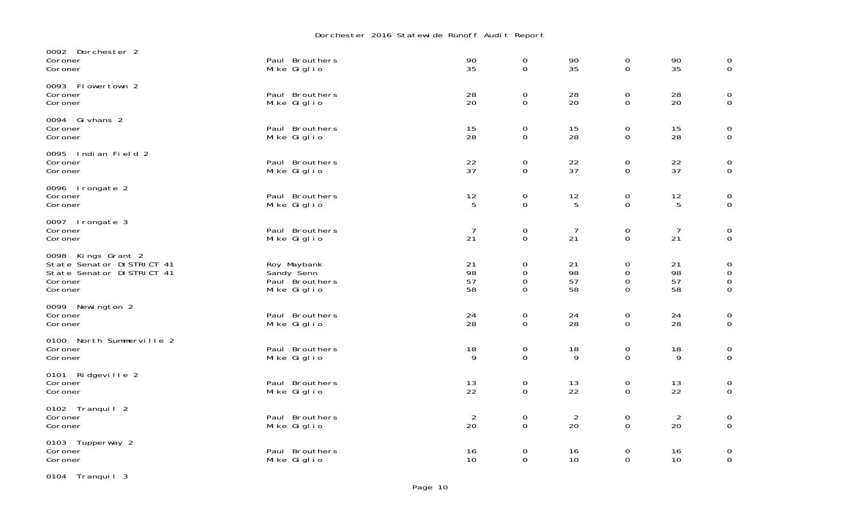## Dorchester 2016 Statewide Runoff Audit Report

| 0092 Dorchester 2<br>Coroner<br>Coroner                                                             | Paul Brouthers<br>Mike Giglio                              | 90<br>35             | $\mathbf 0$<br>$\mathbf 0$           | 90<br>35                               | $\mathbf 0$<br>$\mathbf 0$           | 90<br>35                                | $\mathbf 0$<br>$\mathbf 0$                                       |
|-----------------------------------------------------------------------------------------------------|------------------------------------------------------------|----------------------|--------------------------------------|----------------------------------------|--------------------------------------|-----------------------------------------|------------------------------------------------------------------|
| 0093 Flowertown 2<br>Coroner<br>Coroner                                                             | Paul Brouthers<br>Mike Giglio                              | 28<br>20             | $\mathbf 0$<br>0                     | 28<br>20                               | $\mathbf 0$<br>0                     | 28<br>20                                | $\mathbf 0$<br>$\mathbf 0$                                       |
| 0094 Gi vhans 2<br>Coroner<br>Coroner                                                               | Paul Brouthers<br>Mike Giglio                              | 15<br>28             | $\mathbf 0$<br>0                     | 15<br>28                               | $\mathbf 0$<br>0                     | 15<br>28                                | $\mathbf 0$<br>$\overline{0}$                                    |
| 0095 Indian Field 2<br>Coroner<br>Coroner                                                           | Paul Brouthers<br>Mike Giglio                              | 22<br>37             | $\mathbf 0$<br>$\mathbf 0$           | 22<br>37                               | $\mathbf 0$<br>$\mathbf 0$           | 22<br>37                                | $\overline{0}$<br>$\mathbf 0$                                    |
| 0096 Irongate 2<br>Coroner<br>Coroner                                                               | Paul Brouthers<br>Mike Giglio                              | 12<br>5              | $\mathbf 0$<br>$\mathsf{O}$          | $\begin{array}{c} 12 \\ 5 \end{array}$ | $\mathbf 0$<br>$\mathbf 0$           | $\begin{array}{c} 12 \\ 5 \end{array}$  | $\mathbf 0$<br>$\mathbf 0$                                       |
| 0097 Irongate 3<br>Coroner<br>Coroner                                                               | Paul Brouthers<br>Mike Giglio                              | $\overline{7}$<br>21 | $\mathbf 0$<br>$\mathbf 0$           | $\overline{7}$<br>21                   | $\mathbf 0$<br>$\mathbf 0$           | $\overline{7}$<br>21                    | $\mathbf 0$<br>$\mathbf 0$                                       |
| 0098 Kings Grant 2<br>State Senator DISTRICT 41<br>State Senator DI STRICT 41<br>Coroner<br>Coroner | Roy Maybank<br>Sandy Senn<br>Paul Brouthers<br>Mike Giglio | 21<br>98<br>57<br>58 | $\mathbf 0$<br>$\mathbf 0$<br>0<br>0 | 21<br>98<br>57<br>58                   | 0<br>$\mathbf 0$<br>$\mathbf 0$<br>0 | 21<br>98<br>57<br>58                    | $\mathbf 0$<br>$\mathsf{O}\xspace$<br>$\mathbf 0$<br>$\mathbf 0$ |
| 0099 Newington 2<br>Coroner<br>Coroner                                                              | Paul Brouthers<br>Mike Giglio                              | 24<br>28             | $\mathbf 0$<br>$\mathbf 0$           | 24<br>28                               | $\mathbf 0$<br>$\mathbf 0$           | 24<br>28                                | $\mathbf 0$<br>$\mathbf 0$                                       |
| 0100 North Summerville 2<br>Coroner<br>Coroner                                                      | Paul Brouthers<br>Mike Giglio                              | 18<br>9              | $\mathbf 0$<br>$\overline{0}$        | 18<br>9                                | $\mathbf 0$<br>$\mathbf 0$           | 18<br>9                                 | $\begin{matrix} 0 \\ 0 \end{matrix}$                             |
| 0101 Ridgeville 2<br>Coroner<br>Coroner                                                             | Paul Brouthers<br>Mike Giglio                              | $\frac{13}{22}$      | $\mathbf 0$<br>$\overline{0}$        | $\frac{13}{22}$                        | 0<br>$\mathbf 0$                     | $\begin{array}{c} 13 \\ 22 \end{array}$ | $\begin{matrix} 0 \\ 0 \end{matrix}$                             |
| 0102 Tranquil 2<br>Coroner<br>Coroner                                                               | Paul Brouthers<br>Mike Giglio                              | $\overline{2}$<br>20 | $\mathbf 0$<br>$\overline{0}$        | $\overline{2}$<br>20                   | $\mathbf 0$<br>$\Omega$              | $\overline{2}$<br>20                    | $\overline{0}$<br>$\mathbf{0}$                                   |
| 0103 Tupperway 2<br>Coroner<br>Coroner                                                              | Paul Brouthers<br>Mike Giglio                              | 16<br>10             | $\mathbf 0$<br>$\overline{0}$        | 16<br>10                               | 0<br>$\overline{0}$                  | 16<br>10                                | $\overline{0}$<br>$\mathbf 0$                                    |

0104 Tranquil 3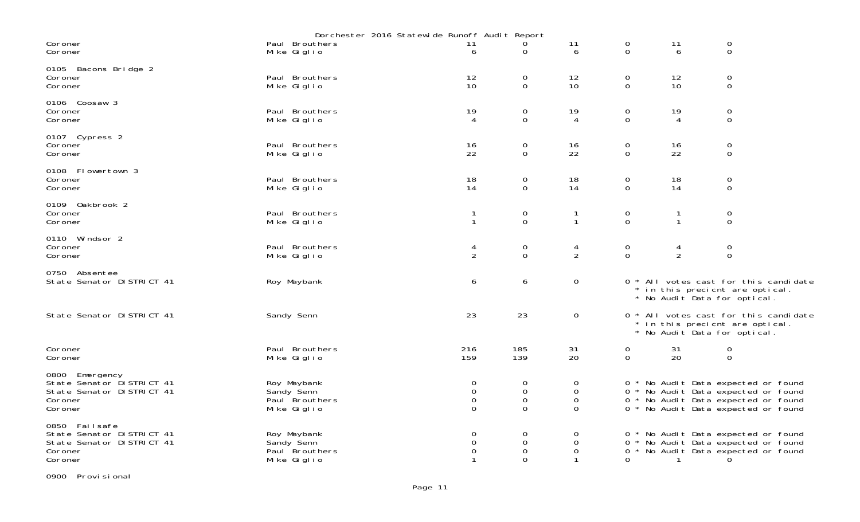|                                                                                                | Dorchester 2016 Statewide Runoff Audit Report              |                                                       |                                                       |                                                       |                                    |                     |                                                                                                                                                          |
|------------------------------------------------------------------------------------------------|------------------------------------------------------------|-------------------------------------------------------|-------------------------------------------------------|-------------------------------------------------------|------------------------------------|---------------------|----------------------------------------------------------------------------------------------------------------------------------------------------------|
| Coroner<br>Coroner                                                                             | Paul Brouthers<br>Mike Giglio                              | 11<br>6                                               | 0<br>0                                                | 11<br>6                                               | 0<br>$\overline{O}$                | 11<br>6             | $\mathbf 0$<br>$\mathbf 0$                                                                                                                               |
| 0105 Bacons Bridge 2<br>Coroner<br>Coroner                                                     | Paul Brouthers<br>Mike Giglio                              | 12<br>10                                              | 0<br>$\mathbf{O}$                                     | 12<br>10                                              | 0<br>$\overline{0}$                | 12<br>10            | $\overline{0}$<br>$\mathbf 0$                                                                                                                            |
| 0106 Coosaw 3<br>Coroner<br>Coroner                                                            | Paul Brouthers<br>Mike Giglio                              | 19<br>4                                               | 0<br>$\mathbf 0$                                      | 19<br>4                                               | 0<br>$\mathbf 0$                   | 19<br>4             | $\mathbf 0$<br>$\mathbf 0$                                                                                                                               |
| 0107 Cypress 2<br>Coroner<br>Coroner                                                           | Paul Brouthers<br>Mike Giglio                              | 16<br>22                                              | 0<br>$\mathbf 0$                                      | 16<br>22                                              | 0<br>$\mathbf 0$                   | 16<br>22            | $\mathbf 0$<br>$\mathbf 0$                                                                                                                               |
| 0108 Flowertown 3<br>Coroner<br>Coroner                                                        | Paul Brouthers<br>Mike Giglio                              | 18<br>14                                              | 0<br>$\Omega$                                         | 18<br>14                                              | 0<br>$\mathbf 0$                   | 18<br>14            | 0<br>$\Omega$                                                                                                                                            |
| 0109 Oakbrook 2<br>Coroner<br>Coroner                                                          | Paul Brouthers<br>Mike Giglio                              | $\mathbf{1}$                                          | 0<br>$\overline{O}$                                   | $\mathbf{1}$                                          | 0<br>$\overline{O}$                | $\mathbf{1}$        | $\mathbf 0$<br>$\mathbf 0$                                                                                                                               |
| 0110 Windsor 2<br>Coroner<br>Coroner                                                           | Paul Brouthers<br>Mike Giglio                              | 4<br>$\overline{2}$                                   | 0<br>$\Omega$                                         | 4<br>2                                                | 0<br>$\mathbf 0$                   | 4<br>$\overline{2}$ | $\mathbf 0$<br>$\mathbf 0$                                                                                                                               |
| 0750 Absentee<br>State Senator DISTRICT 41                                                     | Roy Maybank                                                | 6                                                     | 6                                                     | 0                                                     |                                    |                     | 0 * All votes cast for this candidate<br>* in this precient are optical.<br>* No Audit Data for optical.                                                 |
| State Senator DISTRICT 41                                                                      | Sandy Senn                                                 | 23                                                    | 23                                                    | 0                                                     |                                    |                     | 0 * All votes cast for this candidate<br>* in this precient are optical.<br>* No Audit Data for optical.                                                 |
| Coroner<br>Coroner                                                                             | Paul Brouthers<br>Mike Giglio                              | 216<br>159                                            | 185<br>139                                            | 31<br>20                                              | $\boldsymbol{0}$<br>$\overline{O}$ | 31<br>20            | 0<br>$\mathbf 0$                                                                                                                                         |
| 0800 Emergency<br>State Senator DISTRICT 41<br>State Senator DISTRICT 41<br>Coroner<br>Coroner | Roy Maybank<br>Sandy Senn<br>Paul Brouthers<br>Mike Giglio | $\mathbf 0$<br>$\mathbf 0$<br>$\mathbf 0$<br>$\Omega$ | $\mathbf 0$<br>$\mathbf 0$<br>$\mathbf 0$<br>$\Omega$ | $\overline{0}$<br>$\Omega$<br>$\mathbf 0$<br>$\Omega$ |                                    |                     | 0 * No Audit Data expected or found<br>0 * No Audit Data expected or found<br>0 * No Audit Data expected or found<br>0 * No Audit Data expected or found |
| 0850 Failsafe<br>State Senator DISTRICT 41<br>State Senator DISTRICT 41<br>Coroner<br>Coroner  | Roy Maybank<br>Sandy Senn<br>Paul Brouthers<br>Mike Giglio | 0<br>$\mathbf 0$<br>$\Omega$                          | 0<br>$\mathbf 0$<br>$\mathbf 0$<br>$\Omega$           | 0<br>$\Omega$<br>$\Omega$                             | 0<br>0                             | $\mathbf{1}$        | 0 * No Audit Data expected or found<br>0 * No Audit Data expected or found<br>* No Audit Data expected or found<br>0                                     |

0900 Provisional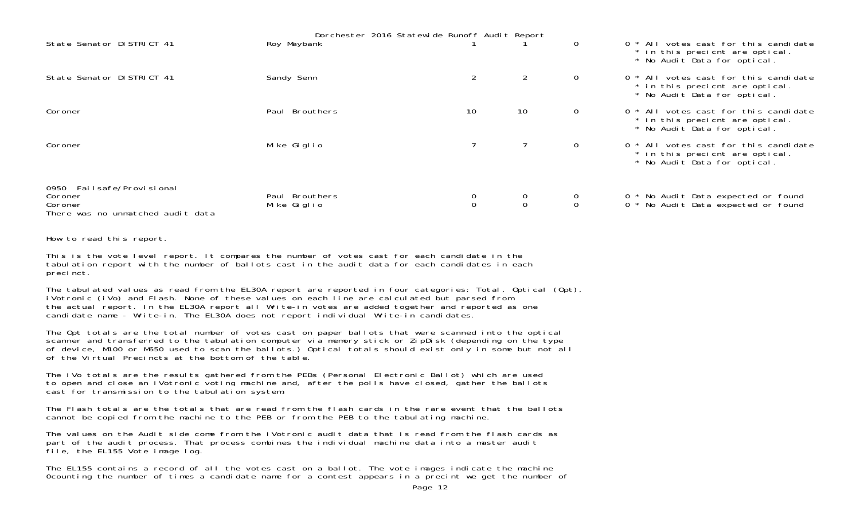|                                                                                      | Dorchester 2016 Statewide Runoff Audit Report |                |                     |              |                                                                                                          |
|--------------------------------------------------------------------------------------|-----------------------------------------------|----------------|---------------------|--------------|----------------------------------------------------------------------------------------------------------|
| State Senator DISTRICT 41                                                            | Roy Maybank                                   |                |                     | $\Omega$     | 0 * All votes cast for this candidate<br>* in this precient are optical.<br>* No Audit Data for optical. |
| State Senator DISTRICT 41                                                            | Sandy Senn                                    | $\overline{2}$ | $\overline{2}$      | $\mathbf{O}$ | 0 * All votes cast for this candidate<br>* in this precient are optical.<br>* No Audit Data for optical. |
| Coroner                                                                              | Paul Brouthers                                | 10             | 10                  | $\mathbf{O}$ | 0 * All votes cast for this candidate<br>* in this precient are optical.<br>* No Audit Data for optical. |
| Coroner                                                                              | Mike Giglio                                   |                |                     | $\mathbf{O}$ | 0 * All votes cast for this candidate<br>* in this precient are optical.<br>* No Audit Data for optical. |
| 0950 Failsafe/Provisional<br>Coroner<br>Coroner<br>There was no unmatched audit data | Paul Brouthers<br>Mike Giglio                 |                | 0<br>$\overline{0}$ |              | 0 * No Audit Data expected or found<br>0 * No Audit Data expected or found                               |

How to read this report.

This is the vote level report. It compares the number of votes cast for each candidate in the tabulation report with the number of ballots cast in the audit data for each candidates in each precinct.

The tabulated values as read from the EL30A report are reported in four categories; Total, Optical (Opt), iVotronic (iVo) and Flash. None of these values on each line are calculated but parsed from the actual report. In the EL30A report all Write-in votes are added together and reported as one candidate name - Write-in. The EL30A does not report individual Write-in candidates.

The Opt totals are the total number of votes cast on paper ballots that were scanned into the optical scanner and transferred to the tabulation computer via memory stick or ZipDisk (depending on the type of device, M100 or M650 used to scan the ballots.) Optical totals should exist only in some but not all of the Virtual Precincts at the bottom of the table.

The iVo totals are the results gathered from the PEBs (Personal Electronic Ballot) which are used to open and close an iVotronic voting machine and, after the polls have closed, gather the ballots cast for transmission to the tabulation system.

The Flash totals are the totals that are read from the flash cards in the rare event that the ballotscannot be copied from the machine to the PEB or from the PEB to the tabulating machine.

The values on the Audit side come from the iVotronic audit data that is read from the flash cards as part of the audit process. That process combines the individual machine data into a master audit file, the EL155 Vote image log.

The EL155 contains a record of all the votes cast on a ballot. The vote images indicate the machine 0counting the number of times a candidate name for a contest appears in a precint we get the number of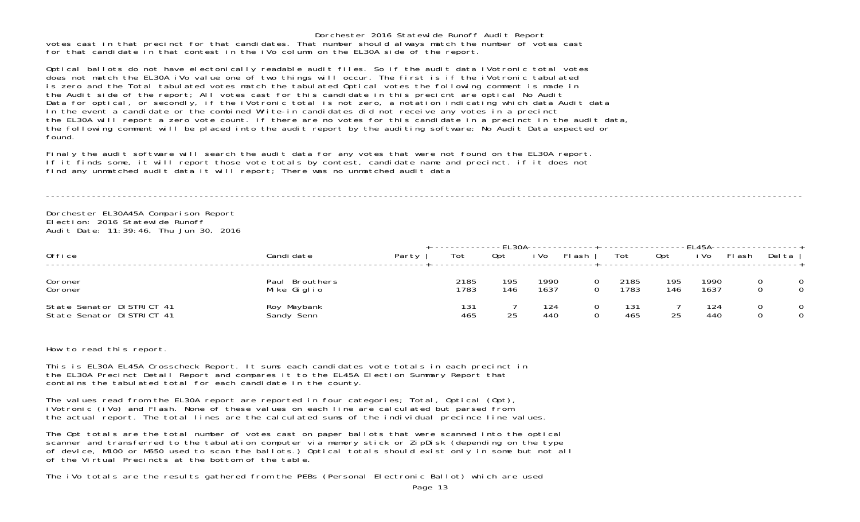Dorchester 2016 Statewide Runoff Audit Report votes cast in that precinct for that candidates. That number should always match the number of votes cast for that candidate in that contest in the iVo column on the EL30A side of the report.

Optical ballots do not have electonically readable audit files. So if the audit data iVotronic total votes does not match the EL30A iVo value one of two things will occur. The first is if the iVotronic tabulated is zero and the Total tabulated votes match the tabulated Optical votes the following comment is made in the Audit side of the report; All votes cast for this candidate in this precicnt are optical No Audit Data for optical, or secondly, if the iVotronic total is not zero, a notation indicating which data Audit data In the event a candidate or the combined Write-in candidates did not receive any votes in a precinct the EL30A will report a zero vote count. If there are no votes for this candidate in a precinct in the audit data, the following comment will be placed into the audit report by the auditing software; No Audit Data expected or found.

Finaly the audit software will search the audit data for any votes that were not found on the EL30A report. If it finds some, it will report those vote totals by contest, candidate name and precinct. if it does not find any unmatched audit data it will report; There was no unmatched audit data

----------------------------------------------------------------------------------------------------------------------------------------------------

Dorchester EL30A45A Comparison Report Election: 2016 Statewide RunoffAudit Date: 11:39:46, Thu Jun 30, 2016

| Office                                                 | Candi date                       | Party | Tot          | Opt        | i Vo         | FI ash | Tot          | Opt        | i Vo         | FI ash | Del ta |        |
|--------------------------------------------------------|----------------------------------|-------|--------------|------------|--------------|--------|--------------|------------|--------------|--------|--------|--------|
| Coroner<br>Coroner                                     | Brouthers<br>Paul<br>Mike Giglio |       | 2185<br>1783 | 195<br>146 | 1990<br>1637 |        | 2185<br>1783 | 195<br>146 | 1990<br>1637 |        | 0      | 0<br>0 |
| State Senator DISTRICT 41<br>State Senator DISTRICT 41 | Roy Maybank<br>Sandy Senn        |       | 131<br>465   | つら         | 124<br>440   |        | 131<br>465   | 25         | 124<br>440   |        |        | 0<br>0 |

How to read this report.

This is EL30A EL45A Crosscheck Report. It sums each candidates vote totals in each precinct in the EL30A Precinct Detail Report and compares it to the EL45A Election Summary Report that contains the tabulated total for each candidate in the county.

The values read from the EL30A report are reported in four categories; Total, Optical (Opt),<br>iVotronic (iVo) and Flash. None of these values on each line are calculated but parsed from the actual report. The total lines are the calculated sums of the individual precince line values.

The Opt totals are the total number of votes cast on paper ballots that were scanned into the optical scanner and transferred to the tabulation computer via memory stick or ZipDisk (depending on the type of device, M100 or M650 used to scan the ballots.) Optical totals should exist only in some but not all of the Virtual Precincts at the bottom of the table.

The iVo totals are the results gathered from the PEBs (Personal Electronic Ballot) which are used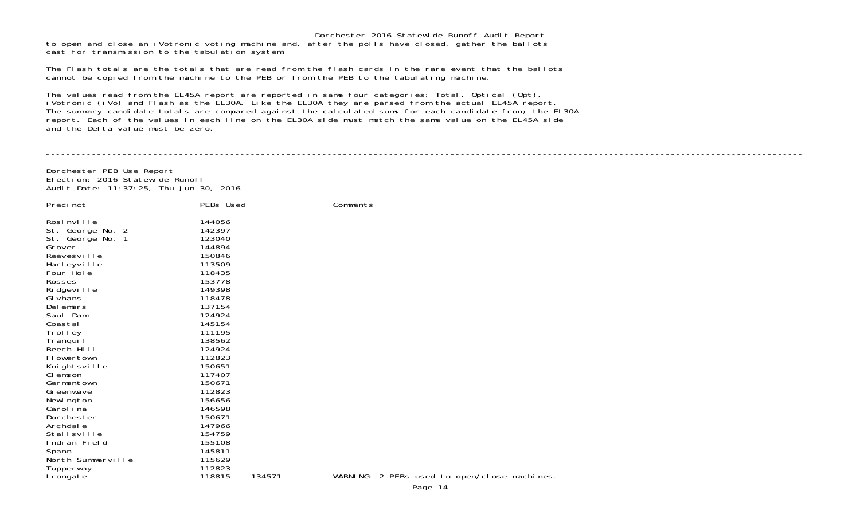Dorchester 2016 Statewide Runoff Audit Report to open and close an iVotronic voting machine and, after the polls have closed, gather the ballots cast for transmission to the tabulation system.

The Flash totals are the totals that are read from the flash cards in the rare event that the ballots cannot be copied from the machine to the PEB or from the PEB to the tabulating machine.

The values read from the EL45A report are reported in same four categories; Total, Optical (Opt), iVotronic (iVo) and Flash as the EL30A. Like the EL30A they are parsed from the actual EL45A report The summary candidate totals are compared against the calculated sums for each candidate from, the EL30A report. Each of the values in each line on the EL30A side must match the same value on the EL45A side and the Delta value must be zero.

Dorchester PEB Use Report Election: 2016 Statewide RunoffAudit Date: 11:37:25, Thu Jun 30, 2016

| Precinct                                                                                                                                                                                                                                                                                                                                            | PEBs Used                                                                                                                                                                                                                                              |        | Comments  |
|-----------------------------------------------------------------------------------------------------------------------------------------------------------------------------------------------------------------------------------------------------------------------------------------------------------------------------------------------------|--------------------------------------------------------------------------------------------------------------------------------------------------------------------------------------------------------------------------------------------------------|--------|-----------|
| Rosinville<br>St. George No. 2<br>St. George No. 1<br>Grover<br>Reevesville<br>Harleyville<br>Four Hole<br>Rosses<br>Ridgeville<br>Gi vhans<br>Delemars<br>Saul Dam<br>Coastal<br>Trol I ey<br>Tranqui I<br>Beech Hill<br>FI owertown<br>Knightsville<br>CI emson<br>Germantown<br>Greenwave<br>Newi ngton<br>Carol i na<br>Dorchester<br>Archdal e | 144056<br>142397<br>123040<br>144894<br>150846<br>113509<br>118435<br>153778<br>149398<br>118478<br>137154<br>124924<br>145154<br>111195<br>138562<br>124924<br>112823<br>150651<br>117407<br>150671<br>112823<br>156656<br>146598<br>150671<br>147966 |        |           |
| Stallsville                                                                                                                                                                                                                                                                                                                                         | 154759                                                                                                                                                                                                                                                 |        |           |
| Indian Field<br>Spann                                                                                                                                                                                                                                                                                                                               | 155108<br>145811                                                                                                                                                                                                                                       |        |           |
| North Summerville                                                                                                                                                                                                                                                                                                                                   | 115629                                                                                                                                                                                                                                                 |        |           |
| Tupperway<br>Irongate                                                                                                                                                                                                                                                                                                                               | 112823<br>118815                                                                                                                                                                                                                                       | 134571 | WARNI NG: |

----------------------------------------------------------------------------------------------------------------------------------------------------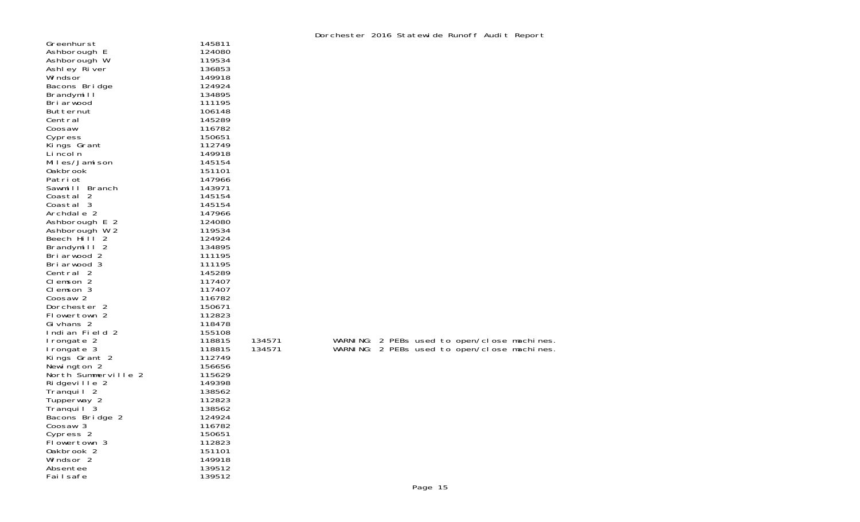|                       |        |        |  |  | DOI CHESTEL ZOTO STATEWINE KUHOLI AUGHT KEPOLI |                                             |
|-----------------------|--------|--------|--|--|------------------------------------------------|---------------------------------------------|
| Greenhurst            | 145811 |        |  |  |                                                |                                             |
| Ashborough E          | 124080 |        |  |  |                                                |                                             |
| Ashborough W          | 119534 |        |  |  |                                                |                                             |
| Ashley River          | 136853 |        |  |  |                                                |                                             |
|                       |        |        |  |  |                                                |                                             |
| Wi ndsor              | 149918 |        |  |  |                                                |                                             |
| Bacons Bridge         | 124924 |        |  |  |                                                |                                             |
| Brandymill            | 134895 |        |  |  |                                                |                                             |
| Bri arwood            | 111195 |        |  |  |                                                |                                             |
| Butternut             | 106148 |        |  |  |                                                |                                             |
| Central               | 145289 |        |  |  |                                                |                                             |
|                       |        |        |  |  |                                                |                                             |
| Coosaw                | 116782 |        |  |  |                                                |                                             |
| Cypress               | 150651 |        |  |  |                                                |                                             |
| Kings Grant           | 112749 |        |  |  |                                                |                                             |
| Li ncol n             | 149918 |        |  |  |                                                |                                             |
| Miles/Jamison         | 145154 |        |  |  |                                                |                                             |
| <b>Oakbrook</b>       | 151101 |        |  |  |                                                |                                             |
| Patri ot              | 147966 |        |  |  |                                                |                                             |
|                       |        |        |  |  |                                                |                                             |
| Sawmill Branch        | 143971 |        |  |  |                                                |                                             |
| Coastal 2             | 145154 |        |  |  |                                                |                                             |
| Coastal 3             | 145154 |        |  |  |                                                |                                             |
| Archdale 2            | 147966 |        |  |  |                                                |                                             |
| Ashborough E 2        | 124080 |        |  |  |                                                |                                             |
| Ashborough W 2        | 119534 |        |  |  |                                                |                                             |
| Beech Hi I 2          | 124924 |        |  |  |                                                |                                             |
|                       |        |        |  |  |                                                |                                             |
| Brandymill 2          | 134895 |        |  |  |                                                |                                             |
| Briarwood 2           | 111195 |        |  |  |                                                |                                             |
| Briarwood 3           | 111195 |        |  |  |                                                |                                             |
| Central 2             | 145289 |        |  |  |                                                |                                             |
| Clemson 2             | 117407 |        |  |  |                                                |                                             |
| CI emson 3            | 117407 |        |  |  |                                                |                                             |
|                       |        |        |  |  |                                                |                                             |
| Coosaw <sub>2</sub>   | 116782 |        |  |  |                                                |                                             |
| Dorchester 2          | 150671 |        |  |  |                                                |                                             |
| Flowertown 2          | 112823 |        |  |  |                                                |                                             |
| Gi vhans 2            | 118478 |        |  |  |                                                |                                             |
| Indian Field 2        | 155108 |        |  |  |                                                |                                             |
| I rongate 2           | 118815 | 134571 |  |  |                                                | WARNING: 2 PEBs used to open/close machines |
| I rongate 3           | 118815 | 134571 |  |  |                                                | WARNING: 2 PEBs used to open/close machines |
|                       | 112749 |        |  |  |                                                |                                             |
| Kings Grant 2         |        |        |  |  |                                                |                                             |
| Newington 2           | 156656 |        |  |  |                                                |                                             |
| North Summerville 2   | 115629 |        |  |  |                                                |                                             |
| Ridgeville 2          | 149398 |        |  |  |                                                |                                             |
| Tranquil <sub>2</sub> | 138562 |        |  |  |                                                |                                             |
| Tupperway 2           | 112823 |        |  |  |                                                |                                             |
| Tranquil <sup>3</sup> | 138562 |        |  |  |                                                |                                             |
| Bacons Bridge 2       | 124924 |        |  |  |                                                |                                             |
|                       |        |        |  |  |                                                |                                             |
| Coosaw 3              | 116782 |        |  |  |                                                |                                             |
| Cypress 2             | 150651 |        |  |  |                                                |                                             |
| Flowertown 3          | 112823 |        |  |  |                                                |                                             |
| Oakbrook 2            | 151101 |        |  |  |                                                |                                             |
| Windsor 2             | 149918 |        |  |  |                                                |                                             |
| Absentee              | 139512 |        |  |  |                                                |                                             |
| Fai I safe            | 139512 |        |  |  |                                                |                                             |
|                       |        |        |  |  |                                                |                                             |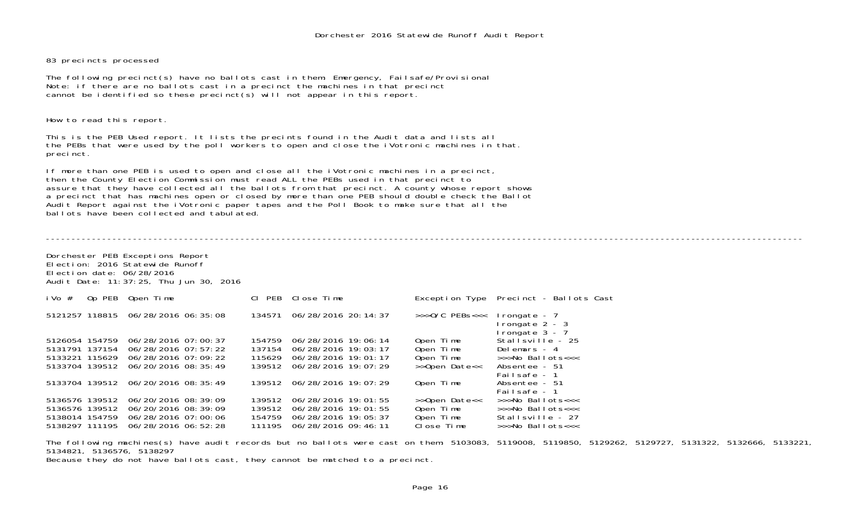83 precincts processed

The following precinct(s) have no ballots cast in them: Emergency, Failsafe/Provisional Note: if there are no ballots cast in a precinct the machines in that precinct cannot be identified so these precinct(s) will not appear in this report.

How to read this report.

This is the PEB Used report. It lists the precints found in the Audit data and lists all the PEBs that were used by the poll workers to open and close the iVotronic machines in that. precinct.

If more than one PEB is used to open and close all the iVotronic machines in a precinct, then the County Election Commission must read ALL the PEBs used in that precinct to assure that they have collected all the ballots from that precinct. A county whose report shows a precinct that has machines open or closed by more than one PEB should double check the Ballot Audit Report against the iVotronic paper tapes and the Poll Book to make sure that all the ballots have been collected and tabulated.

----------------------------------------------------------------------------------------------------------------------------------------------------Dorchester PEB Exceptions Report Election: 2016 Statewide RunoffElection date: 06/28/2016 Audit Date: 11:37:25, Thu Jun 30, 2016 iVo # Op PEB Open Time Cl PEB Close Time Exception Type Precinct - Ballots Cast 5121257 118815 06/28/2016 06:35:08 134571 06/28/2016 20:14:37 >>>O/C PEBs<<< Irongate - 7 Irongate 2 - 3 Irongate 3 - 7<br>Stallsville - 25 5126054 154759 06/28/2016 07:00:37 154759 06/28/2016 19:06:14 Open Time Stallsville - 25 5131791 137154 06/28/2016 07:57:22 137154 06/28/2016 19:03:17 Open Time Delemars - 4 5133221 115629 06/28/2016 07:09:22 115629 06/28/2016 19:01:17 Open Time >>>No Ballots<<< 5133704 139512 06/20/2016 08:35:49 Failsafe - 1Absentee - 51 5133704 139512 06/20/2016 08:35:49 139512 06/28/2016 19:07:29 Open Time Failsafe - 1>>>No Ballots<<< 5136576 139512 06/20/2016 08:39:09 139512 06/28/2016 19:01:55 >>Open Date<< >>>No Ballots<<< 5136576 139512 06/20/2016 08:39:09 139512 06/28/2016 19:01:55 Open Time >>>No Ballots<<< 5138014 154759 06/28/2016 07:00:06 154759 06/28/2016 19:05:37 Open Time Stallsville - 27 5138297 111195 06/28/2016 06:52:28

The following machines(s) have audit records but no ballots were cast on them: 5103083, 5119008, 5119850, 5129262, 5129727, 5131322, 5132666, 5133221, 5134821, 5136576, 5138297 Because they do not have ballots cast, they cannot be matched to a precinct.